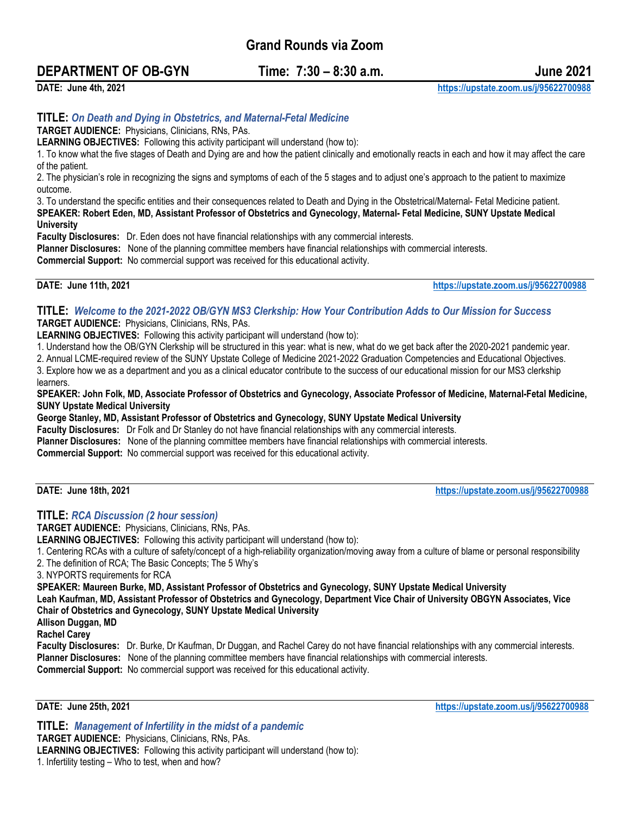**Grand Rounds via Zoom**

# **DEPARTMENT OF OB-GYN Time: 7:30 – 8:30 a.m. June 2021**

**DATE: June 4th, 2021 <https://upstate.zoom.us/j/95622700988>**

## **TITLE:** *On Death and Dying in Obstetrics, and Maternal-Fetal Medicine*

**TARGET AUDIENCE:** Physicians, Clinicians, RNs, PAs.

**LEARNING OBJECTIVES:** Following this activity participant will understand (how to):

1. To know what the five stages of Death and Dying are and how the patient clinically and emotionally reacts in each and how it may affect the care of the patient.

2. The physician's role in recognizing the signs and symptoms of each of the 5 stages and to adjust one's approach to the patient to maximize outcome.

3. To understand the specific entities and their consequences related to Death and Dying in the Obstetrical/Maternal- Fetal Medicine patient. **SPEAKER: Robert Eden, MD, Assistant Professor of Obstetrics and Gynecology, Maternal- Fetal Medicine, SUNY Upstate Medical University**

**Faculty Disclosures:** Dr. Eden does not have financial relationships with any commercial interests.

**Planner Disclosures:** None of the planning committee members have financial relationships with commercial interests.

**Commercial Support:** No commercial support was received for this educational activity.

**DATE: June 11th, 2021 <https://upstate.zoom.us/j/95622700988>**

#### **TITLE:** *Welcome to the 2021-2022 OB/GYN MS3 Clerkship: How Your Contribution Adds to Our Mission for Success* **TARGET AUDIENCE:** Physicians, Clinicians, RNs, PAs.

**LEARNING OBJECTIVES:** Following this activity participant will understand (how to):

1. Understand how the OB/GYN Clerkship will be structured in this year: what is new, what do we get back after the 2020-2021 pandemic year.

2. Annual LCME-required review of the SUNY Upstate College of Medicine 2021-2022 Graduation Competencies and Educational Objectives.

3. Explore how we as a department and you as a clinical educator contribute to the success of our educational mission for our MS3 clerkship learners.

**SPEAKER: John Folk, MD, Associate Professor of Obstetrics and Gynecology, Associate Professor of Medicine, Maternal-Fetal Medicine, SUNY Upstate Medical University**

**George Stanley, MD, Assistant Professor of Obstetrics and Gynecology, SUNY Upstate Medical University**

**Faculty Disclosures:** Dr Folk and Dr Stanley do not have financial relationships with any commercial interests.

**Planner Disclosures:** None of the planning committee members have financial relationships with commercial interests.

**Commercial Support:** No commercial support was received for this educational activity.

**DATE: June 18th, 2021 <https://upstate.zoom.us/j/95622700988>**

### **TITLE:** *RCA Discussion (2 hour session)*

**TARGET AUDIENCE:** Physicians, Clinicians, RNs, PAs. **LEARNING OBJECTIVES:** Following this activity participant will understand (how to): 1. Centering RCAs with a culture of safety/concept of a high-reliability organization/moving away from a culture of blame or personal responsibility 2. The definition of RCA; The Basic Concepts; The 5 Why's 3. NYPORTS requirements for RCA **SPEAKER: Maureen Burke, MD, Assistant Professor of Obstetrics and Gynecology, SUNY Upstate Medical University Leah Kaufman, MD, Assistant Professor of Obstetrics and Gynecology, Department Vice Chair of University OBGYN Associates, Vice Chair of Obstetrics and Gynecology, SUNY Upstate Medical University Allison Duggan, MD Rachel Carey Faculty Disclosures:** Dr. Burke, Dr Kaufman, Dr Duggan, and Rachel Carey do not have financial relationships with any commercial interests. **Planner Disclosures:** None of the planning committee members have financial relationships with commercial interests.

**Commercial Support:** No commercial support was received for this educational activity.

**DATE: June 25th, 2021 <https://upstate.zoom.us/j/95622700988>**

**TITLE:** *Management of Infertility in the midst of a pandemic* **TARGET AUDIENCE:** Physicians, Clinicians, RNs, PAs. **LEARNING OBJECTIVES:** Following this activity participant will understand (how to): 1. Infertility testing – Who to test, when and how?